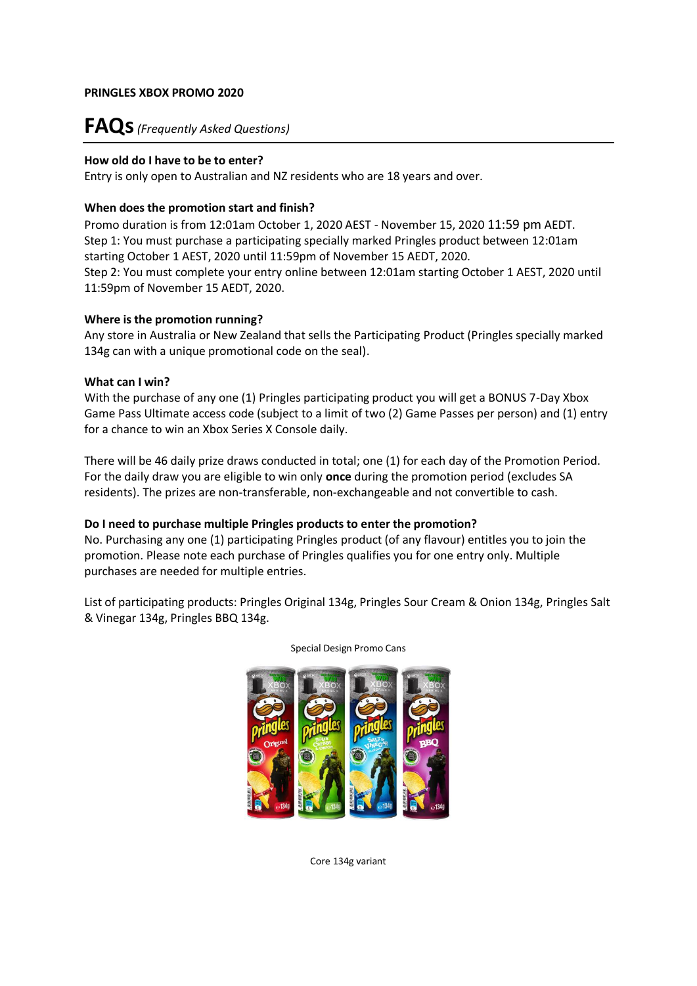# **FAQs***(Frequently Asked Questions)*

# **How old do I have to be to enter?**

Entry is only open to Australian and NZ residents who are 18 years and over.

# **When does the promotion start and finish?**

Promo duration is from 12:01am October 1, 2020 AEST - November 15, 2020 11:59 pm AEDT. Step 1: You must purchase a participating specially marked Pringles product between 12:01am starting October 1 AEST, 2020 until 11:59pm of November 15 AEDT, 2020. Step 2: You must complete your entry online between 12:01am starting October 1 AEST, 2020 until 11:59pm of November 15 AEDT, 2020.

# **Where is the promotion running?**

Any store in Australia or New Zealand that sells the Participating Product (Pringles specially marked 134g can with a unique promotional code on the seal).

# **What can I win?**

With the purchase of any one (1) Pringles participating product you will get a BONUS 7-Day Xbox Game Pass Ultimate access code (subject to a limit of two (2) Game Passes per person) and (1) entry for a chance to win an Xbox Series X Console daily.

There will be 46 daily prize draws conducted in total; one (1) for each day of the Promotion Period. For the daily draw you are eligible to win only **once** during the promotion period (excludes SA residents). The prizes are non-transferable, non-exchangeable and not convertible to cash.

# **Do I need to purchase multiple Pringles products to enter the promotion?**

No. Purchasing any one (1) participating Pringles product (of any flavour) entitles you to join the promotion. Please note each purchase of Pringles qualifies you for one entry only. Multiple purchases are needed for multiple entries.

List of participating products: Pringles Original 134g, Pringles Sour Cream & Onion 134g, Pringles Salt & Vinegar 134g, Pringles BBQ 134g.



Special Design Promo Cans

Core 134g variant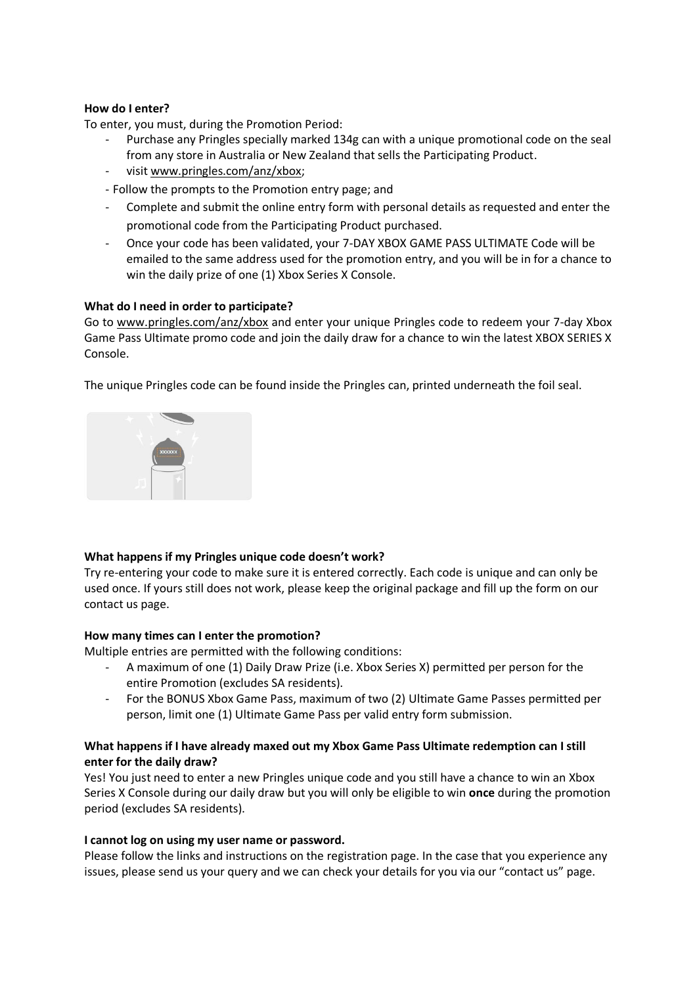# **How do I enter?**

To enter, you must, during the Promotion Period:

- Purchase any Pringles specially marked 134g can with a unique promotional code on the seal from any store in Australia or New Zealand that sells the Participating Product.
- visi[t www.pringles.com/anz/xbox;](http://www.pringles.com/anz/xbox)
- Follow the prompts to the Promotion entry page; and
- Complete and submit the online entry form with personal details as requested and enter the promotional code from the Participating Product purchased.
- Once your code has been validated, your 7-DAY XBOX GAME PASS ULTIMATE Code will be emailed to the same address used for the promotion entry, and you will be in for a chance to win the daily prize of one (1) Xbox Series X Console.

#### **What do I need in order to participate?**

Go to [www.pringles.com/anz/xbox](http://www.pringles.com/anz/xbox) and enter your unique Pringles code to redeem your 7-day Xbox Game Pass Ultimate promo code and join the daily draw for a chance to win the latest XBOX SERIES X Console.

The unique Pringles code can be found inside the Pringles can, printed underneath the foil seal.



#### **What happens if my Pringles unique code doesn't work?**

Try re-entering your code to make sure it is entered correctly. Each code is unique and can only be used once. If yours still does not work, please keep the original package and fill up the form on our contact us page.

#### **How many times can I enter the promotion?**

Multiple entries are permitted with the following conditions:

- A maximum of one (1) Daily Draw Prize (i.e. Xbox Series X) permitted per person for the entire Promotion (excludes SA residents).
- For the BONUS Xbox Game Pass, maximum of two (2) Ultimate Game Passes permitted per person, limit one (1) Ultimate Game Pass per valid entry form submission.

# **What happens if I have already maxed out my Xbox Game Pass Ultimate redemption can I still enter for the daily draw?**

Yes! You just need to enter a new Pringles unique code and you still have a chance to win an Xbox Series X Console during our daily draw but you will only be eligible to win **once** during the promotion period (excludes SA residents).

#### **I cannot log on using my user name or password.**

Please follow the links and instructions on the registration page. In the case that you experience any issues, please send us your query and we can check your details for you via our "contact us" page.